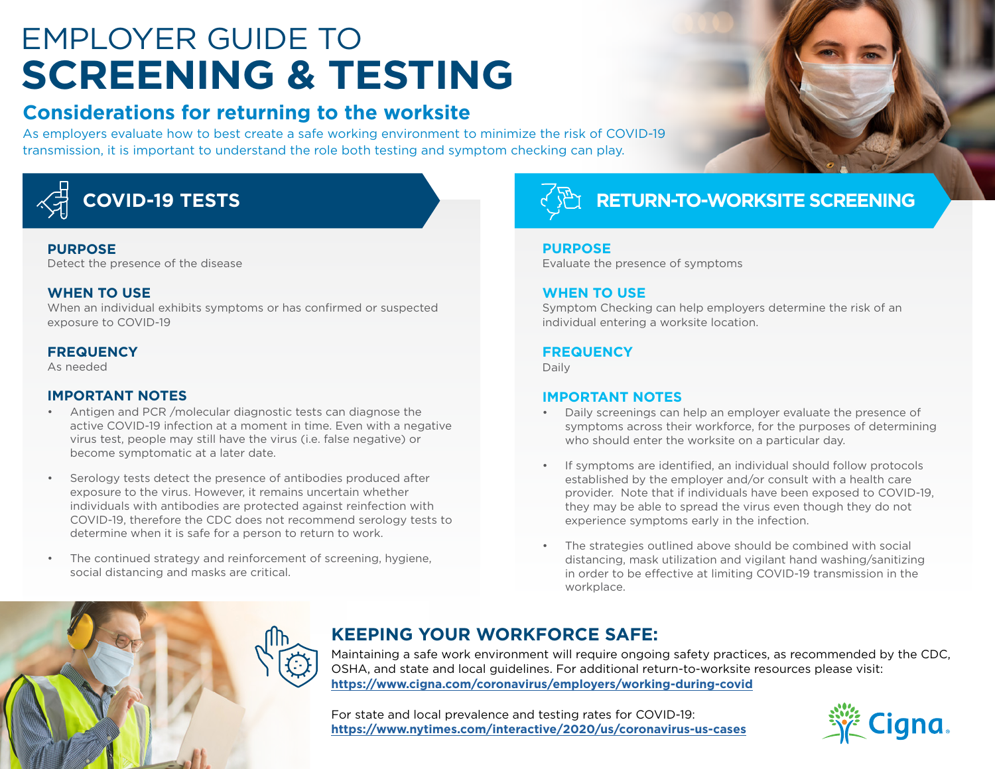# EMPLOYER GUIDE TO **SCREENING & TESTING**

## **Considerations for returning to the worksite**

As employers evaluate how to best create a safe working environment to minimize the risk of COVID-19 transmission, it is important to understand the role both testing and symptom checking can play.



#### **PURPOSE**

Detect the presence of the disease

#### **WHEN TO USE**

When an individual exhibits symptoms or has confirmed or suspected exposure to COVID-19

#### **FREQUENCY**

As needed

#### **IMPORTANT NOTES**

- Antigen and PCR /molecular diagnostic tests can diagnose the active COVID-19 infection at a moment in time. Even with a negative virus test, people may still have the virus (i.e. false negative) or become symptomatic at a later date.
- Serology tests detect the presence of antibodies produced after exposure to the virus. However, it remains uncertain whether individuals with antibodies are protected against reinfection with COVID-19, therefore the CDC does not recommend serology tests to determine when it is safe for a person to return to work.
- The continued strategy and reinforcement of screening, hygiene, social distancing and masks are critical.



## **COVID-19 TESTS RETURN-TO-WORKSITE SCREENING**

#### **PURPOSE**

Evaluate the presence of symptoms

#### **WHEN TO USE**

Symptom Checking can help employers determine the risk of an individual entering a worksite location.

#### **FREQUENCY**

Daily

#### **IMPORTANT NOTES**

- Daily screenings can help an employer evaluate the presence of symptoms across their workforce, for the purposes of determining who should enter the worksite on a particular day.
- If symptoms are identified, an individual should follow protocols established by the employer and/or consult with a health care provider. Note that if individuals have been exposed to COVID-19, they may be able to spread the virus even though they do not experience symptoms early in the infection.
- The strategies outlined above should be combined with social distancing, mask utilization and vigilant hand washing/sanitizing in order to be effective at limiting COVID-19 transmission in the workplace.

## **KEEPING YOUR WORKFORCE SAFE:**

Maintaining a safe work environment will require ongoing safety practices, as recommended by the CDC, OSHA, and state and local guidelines. For additional return-to-worksite resources please visit: **<https://www.cigna.com/coronavirus/employers/working-during-covid>**

For state and local prevalence and testing rates for COVID-19: **<https://www.nytimes.com/interactive/2020/us/coronavirus-us-cases>**